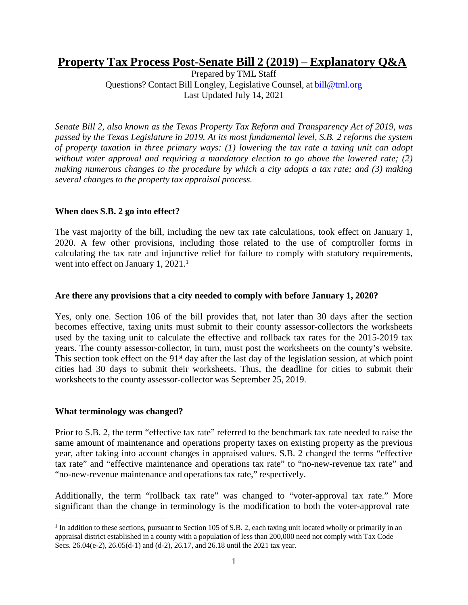# **Property Tax Process Post-Senate Bill 2 (2019) – Explanatory Q&A**

Prepared by TML Staff Questions? Contact Bill Longley, Legislative Counsel, at [bill@tml.org](mailto:bill@tml.org) Last Updated July 14, 2021

*Senate Bill 2, also known as the Texas Property Tax Reform and Transparency Act of 2019, was passed by the Texas Legislature in 2019. At its most fundamental level, S.B. 2 reforms the system of property taxation in three primary ways: (1) lowering the tax rate a taxing unit can adopt without voter approval and requiring a mandatory election to go above the lowered rate; (2) making numerous changes to the procedure by which a city adopts a tax rate; and (3) making several changes to the property tax appraisal process.*

### **When does S.B. 2 go into effect?**

The vast majority of the bill, including the new tax rate calculations, took effect on January 1, 2020. A few other provisions, including those related to the use of comptroller forms in calculating the tax rate and injunctive relief for failure to comply with statutory requirements, went into effect on January 1, 2021.<sup>1</sup>

### **Are there any provisions that a city needed to comply with before January 1, 2020?**

Yes, only one. Section 106 of the bill provides that, not later than 30 days after the section becomes effective, taxing units must submit to their county assessor-collectors the worksheets used by the taxing unit to calculate the effective and rollback tax rates for the 2015-2019 tax years. The county assessor-collector, in turn, must post the worksheets on the county's website. This section took effect on the 91<sup>st</sup> day after the last day of the legislation session, at which point cities had 30 days to submit their worksheets. Thus, the deadline for cities to submit their worksheets to the county assessor-collector was September 25, 2019.

### **What terminology was changed?**

Prior to S.B. 2, the term "effective tax rate" referred to the benchmark tax rate needed to raise the same amount of maintenance and operations property taxes on existing property as the previous year, after taking into account changes in appraised values. S.B. 2 changed the terms "effective tax rate" and "effective maintenance and operations tax rate" to "no-new-revenue tax rate" and "no-new-revenue maintenance and operations tax rate," respectively.

Additionally, the term "rollback tax rate" was changed to "voter-approval tax rate." More significant than the change in terminology is the modification to both the voter-approval rate

 $<sup>1</sup>$  In addition to these sections, pursuant to Section 105 of S.B. 2, each taxing unit located wholly or primarily in an</sup> appraisal district established in a county with a population of less than 200,000 need not comply with Tax Code Secs. 26.04(e-2), 26.05(d-1) and (d-2), 26.17, and 26.18 until the 2021 tax year.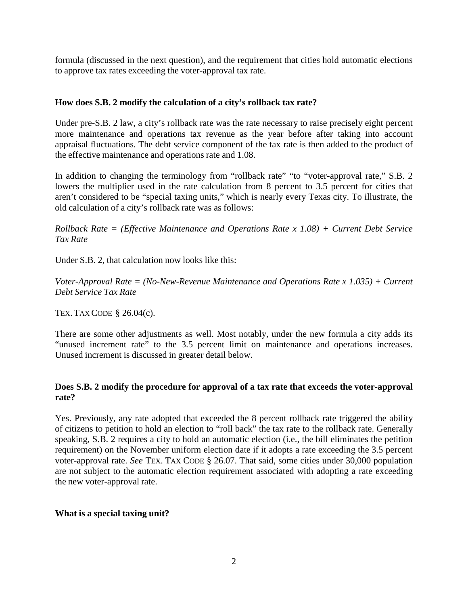formula (discussed in the next question), and the requirement that cities hold automatic elections to approve tax rates exceeding the voter-approval tax rate.

# **How does S.B. 2 modify the calculation of a city's rollback tax rate?**

Under pre-S.B. 2 law, a city's rollback rate was the rate necessary to raise precisely eight percent more maintenance and operations tax revenue as the year before after taking into account appraisal fluctuations. The debt service component of the tax rate is then added to the product of the effective maintenance and operations rate and 1.08.

In addition to changing the terminology from "rollback rate" "to "voter-approval rate," S.B. 2 lowers the multiplier used in the rate calculation from 8 percent to 3.5 percent for cities that aren't considered to be "special taxing units," which is nearly every Texas city. To illustrate, the old calculation of a city's rollback rate was as follows:

*Rollback Rate = (Effective Maintenance and Operations Rate x 1.08) + Current Debt Service Tax Rate*

Under S.B. 2, that calculation now looks like this:

*Voter-Approval Rate = (No-New-Revenue Maintenance and Operations Rate x 1.035) + Current Debt Service Tax Rate*

TEX.TAX CODE § 26.04(c).

There are some other adjustments as well. Most notably, under the new formula a city adds its "unused increment rate" to the 3.5 percent limit on maintenance and operations increases. Unused increment is discussed in greater detail below.

# **Does S.B. 2 modify the procedure for approval of a tax rate that exceeds the voter-approval rate?**

Yes. Previously, any rate adopted that exceeded the 8 percent rollback rate triggered the ability of citizens to petition to hold an election to "roll back" the tax rate to the rollback rate. Generally speaking, S.B. 2 requires a city to hold an automatic election (i.e., the bill eliminates the petition requirement) on the November uniform election date if it adopts a rate exceeding the 3.5 percent voter-approval rate. *See* TEX. TAX CODE § 26.07. That said, some cities under 30,000 population are not subject to the automatic election requirement associated with adopting a rate exceeding the new voter-approval rate.

# **What is a special taxing unit?**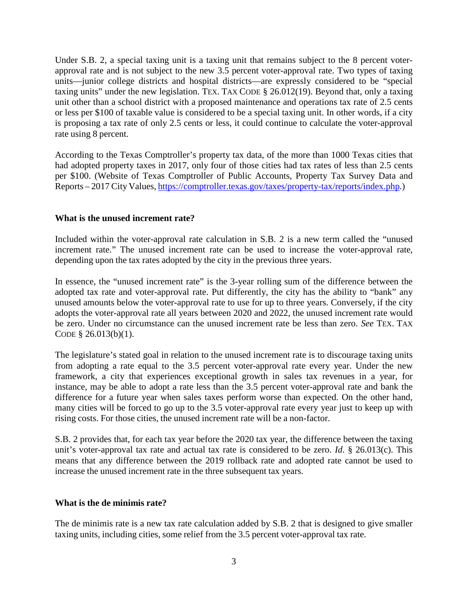Under S.B. 2, a special taxing unit is a taxing unit that remains subject to the 8 percent voterapproval rate and is not subject to the new 3.5 percent voter-approval rate. Two types of taxing units—junior college districts and hospital districts—are expressly considered to be "special taxing units" under the new legislation. TEX. TAX CODE § 26.012(19). Beyond that, only a taxing unit other than a school district with a proposed maintenance and operations tax rate of 2.5 cents or less per \$100 of taxable value is considered to be a special taxing unit. In other words, if a city is proposing a tax rate of only 2.5 cents or less, it could continue to calculate the voter-approval rate using 8 percent.

According to the Texas Comptroller's property tax data, of the more than 1000 Texas cities that had adopted property taxes in 2017, only four of those cities had tax rates of less than 2.5 cents per \$100. (Website of Texas Comptroller of Public Accounts, Property Tax Survey Data and Reports – 2017 City Values, [https://comptroller.texas.gov/taxes/property-tax/reports/index.php.](https://comptroller.texas.gov/taxes/property-tax/reports/index.php))

# **What is the unused increment rate?**

Included within the voter-approval rate calculation in S.B. 2 is a new term called the "unused increment rate." The unused increment rate can be used to increase the voter-approval rate, depending upon the tax rates adopted by the city in the previous three years.

In essence, the "unused increment rate" is the 3-year rolling sum of the difference between the adopted tax rate and voter-approval rate. Put differently, the city has the ability to "bank" any unused amounts below the voter-approval rate to use for up to three years. Conversely, if the city adopts the voter-approval rate all years between 2020 and 2022, the unused increment rate would be zero. Under no circumstance can the unused increment rate be less than zero. *See* TEX. TAX CODE § 26.013(b)(1).

The legislature's stated goal in relation to the unused increment rate is to discourage taxing units from adopting a rate equal to the 3.5 percent voter-approval rate every year. Under the new framework, a city that experiences exceptional growth in sales tax revenues in a year, for instance, may be able to adopt a rate less than the 3.5 percent voter-approval rate and bank the difference for a future year when sales taxes perform worse than expected. On the other hand, many cities will be forced to go up to the 3.5 voter-approval rate every year just to keep up with rising costs. For those cities, the unused increment rate will be a non-factor.

S.B. 2 provides that, for each tax year before the 2020 tax year, the difference between the taxing unit's voter-approval tax rate and actual tax rate is considered to be zero. *Id*. § 26.013(c). This means that any difference between the 2019 rollback rate and adopted rate cannot be used to increase the unused increment rate in the three subsequent tax years.

### **What is the de minimis rate?**

The de minimis rate is a new tax rate calculation added by S.B. 2 that is designed to give smaller taxing units, including cities, some relief from the 3.5 percent voter-approval tax rate.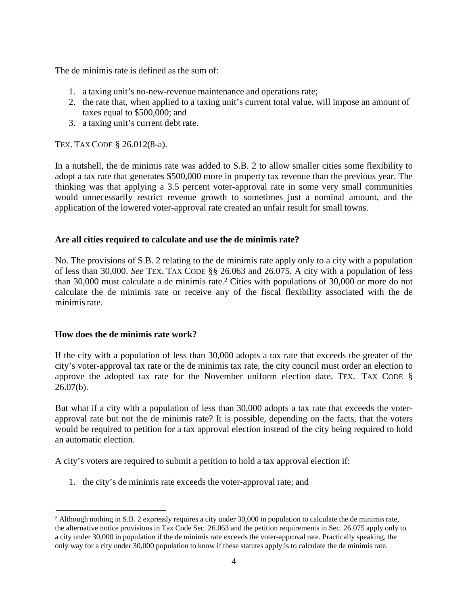The de minimis rate is defined as the sum of:

- 1. a taxing unit's no-new-revenue maintenance and operations rate;
- 2. the rate that, when applied to a taxing unit's current total value, will impose an amount of taxes equal to \$500,000; and
- 3. a taxing unit's current debt rate.

TEX. TAX CODE § 26.012(8-a).

In a nutshell, the de minimis rate was added to S.B. 2 to allow smaller cities some flexibility to adopt a tax rate that generates \$500,000 more in property tax revenue than the previous year. The thinking was that applying a 3.5 percent voter-approval rate in some very small communities would unnecessarily restrict revenue growth to sometimes just a nominal amount, and the application of the lowered voter-approval rate created an unfair result for small towns.

# **Are all cities required to calculate and use the de minimis rate?**

No. The provisions of S.B. 2 relating to the de minimis rate apply only to a city with a population of less than 30,000. *See* TEX. TAX CODE §§ 26.063 and 26.075. A city with a population of less than 30,000 must calculate a de minimis rate.2 Cities with populations of 30,000 or more do not calculate the de minimis rate or receive any of the fiscal flexibility associated with the de minimis rate.

### **How does the de minimis rate work?**

If the city with a population of less than 30,000 adopts a tax rate that exceeds the greater of the city's voter-approval tax rate or the de minimis tax rate, the city council must order an election to approve the adopted tax rate for the November uniform election date. TEX. TAX CODE §  $26.07(b)$ .

But what if a city with a population of less than 30,000 adopts a tax rate that exceeds the voterapproval rate but not the de minimis rate? It is possible, depending on the facts, that the voters would be required to petition for a tax approval election instead of the city being required to hold an automatic election.

A city's voters are required to submit a petition to hold a tax approval election if:

1. the city's de minimis rate exceeds the voter-approval rate; and

<sup>2</sup> Although nothing in S.B. 2 expressly requires a city under 30,000 in population to calculate the de minimis rate, the alternative notice provisions in Tax Code Sec. 26.063 and the petition requirements in Sec. 26.075 apply only to a city under 30,000 in population if the de minimis rate exceeds the voter-approval rate. Practically speaking, the only way for a city under 30,000 population to know if these statutes apply is to calculate the de minimis rate.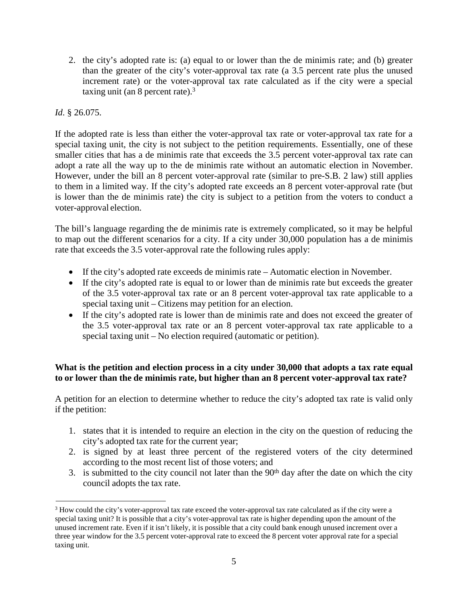2. the city's adopted rate is: (a) equal to or lower than the de minimis rate; and (b) greater than the greater of the city's voter-approval tax rate (a 3.5 percent rate plus the unused increment rate) or the voter-approval tax rate calculated as if the city were a special taxing unit (an 8 percent rate).3

# *Id*. § 26.075.

If the adopted rate is less than either the voter-approval tax rate or voter-approval tax rate for a special taxing unit, the city is not subject to the petition requirements. Essentially, one of these smaller cities that has a de minimis rate that exceeds the 3.5 percent voter-approval tax rate can adopt a rate all the way up to the de minimis rate without an automatic election in November. However, under the bill an 8 percent voter-approval rate (similar to pre-S.B. 2 law) still applies to them in a limited way. If the city's adopted rate exceeds an 8 percent voter-approval rate (but is lower than the de minimis rate) the city is subject to a petition from the voters to conduct a voter-approval election.

The bill's language regarding the de minimis rate is extremely complicated, so it may be helpful to map out the different scenarios for a city. If a city under 30,000 population has a de minimis rate that exceeds the 3.5 voter-approval rate the following rules apply:

- If the city's adopted rate exceeds de minimis rate Automatic election in November.
- If the city's adopted rate is equal to or lower than de minimis rate but exceeds the greater of the 3.5 voter-approval tax rate or an 8 percent voter-approval tax rate applicable to a special taxing unit – Citizens may petition for an election.
- If the city's adopted rate is lower than de minimis rate and does not exceed the greater of the 3.5 voter-approval tax rate or an 8 percent voter-approval tax rate applicable to a special taxing unit – No election required (automatic or petition).

# **What is the petition and election process in a city under 30,000 that adopts a tax rate equal to or lower than the de minimis rate, but higher than an 8 percent voter-approval tax rate?**

A petition for an election to determine whether to reduce the city's adopted tax rate is valid only if the petition:

- 1. states that it is intended to require an election in the city on the question of reducing the city's adopted tax rate for the current year;
- 2. is signed by at least three percent of the registered voters of the city determined according to the most recent list of those voters; and
- 3. is submitted to the city council not later than the  $90<sup>th</sup>$  day after the date on which the city council adopts the tax rate.

<sup>3</sup> How could the city's voter-approval tax rate exceed the voter-approval tax rate calculated as if the city were a special taxing unit? It is possible that a city's voter-approval tax rate is higher depending upon the amount of the unused increment rate. Even if it isn't likely, it is possible that a city could bank enough unused increment over a three year window for the 3.5 percent voter-approval rate to exceed the 8 percent voter approval rate for a special taxing unit.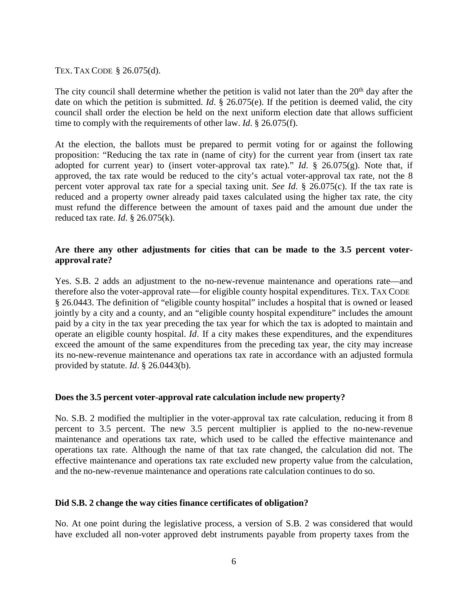#### TEX. TAX CODE § 26.075(d).

The city council shall determine whether the petition is valid not later than the 20<sup>th</sup> day after the date on which the petition is submitted. *Id*. § 26.075(e). If the petition is deemed valid, the city council shall order the election be held on the next uniform election date that allows sufficient time to comply with the requirements of other law. *Id*. § 26.075(f).

At the election, the ballots must be prepared to permit voting for or against the following proposition: "Reducing the tax rate in (name of city) for the current year from (insert tax rate adopted for current year) to (insert voter-approval tax rate)." *Id*. § 26.075(g). Note that, if approved, the tax rate would be reduced to the city's actual voter-approval tax rate, not the 8 percent voter approval tax rate for a special taxing unit. *See Id*. § 26.075(c). If the tax rate is reduced and a property owner already paid taxes calculated using the higher tax rate, the city must refund the difference between the amount of taxes paid and the amount due under the reduced tax rate. *Id*. § 26.075(k).

# **Are there any other adjustments for cities that can be made to the 3.5 percent voterapproval rate?**

Yes. S.B. 2 adds an adjustment to the no-new-revenue maintenance and operations rate—and therefore also the voter-approval rate—for eligible county hospital expenditures. TEX. TAX CODE § 26.0443. The definition of "eligible county hospital" includes a hospital that is owned or leased jointly by a city and a county, and an "eligible county hospital expenditure" includes the amount paid by a city in the tax year preceding the tax year for which the tax is adopted to maintain and operate an eligible county hospital. *Id*. If a city makes these expenditures, and the expenditures exceed the amount of the same expenditures from the preceding tax year, the city may increase its no-new-revenue maintenance and operations tax rate in accordance with an adjusted formula provided by statute. *Id*. § 26.0443(b).

### **Does the 3.5 percent voter-approval rate calculation include new property?**

No. S.B. 2 modified the multiplier in the voter-approval tax rate calculation, reducing it from 8 percent to 3.5 percent. The new 3.5 percent multiplier is applied to the no-new-revenue maintenance and operations tax rate, which used to be called the effective maintenance and operations tax rate. Although the name of that tax rate changed, the calculation did not. The effective maintenance and operations tax rate excluded new property value from the calculation, and the no-new-revenue maintenance and operations rate calculation continues to do so.

#### **Did S.B. 2 change the way cities finance certificates of obligation?**

No. At one point during the legislative process, a version of S.B. 2 was considered that would have excluded all non-voter approved debt instruments payable from property taxes from the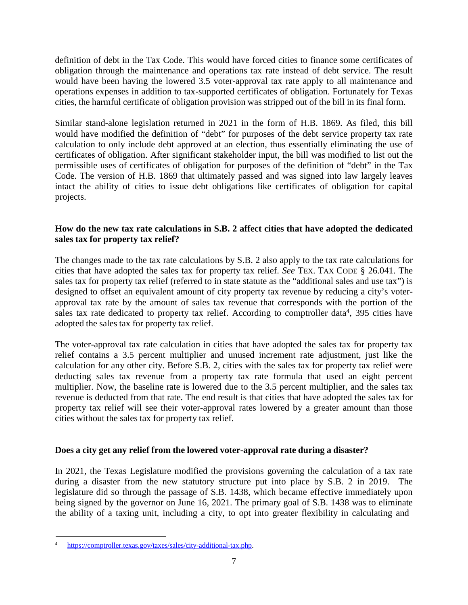definition of debt in the Tax Code. This would have forced cities to finance some certificates of obligation through the maintenance and operations tax rate instead of debt service. The result would have been having the lowered 3.5 voter-approval tax rate apply to all maintenance and operations expenses in addition to tax-supported certificates of obligation. Fortunately for Texas cities, the harmful certificate of obligation provision was stripped out of the bill in its final form.

Similar stand-alone legislation returned in 2021 in the form of H.B. 1869. As filed, this bill would have modified the definition of "debt" for purposes of the debt service property tax rate calculation to only include debt approved at an election, thus essentially eliminating the use of certificates of obligation. After significant stakeholder input, the bill was modified to list out the permissible uses of certificates of obligation for purposes of the definition of "debt" in the Tax Code. The version of H.B. 1869 that ultimately passed and was signed into law largely leaves intact the ability of cities to issue debt obligations like certificates of obligation for capital projects.

# **How do the new tax rate calculations in S.B. 2 affect cities that have adopted the dedicated sales tax for property tax relief?**

The changes made to the tax rate calculations by S.B. 2 also apply to the tax rate calculations for cities that have adopted the sales tax for property tax relief. *See* TEX. TAX CODE § 26.041. The sales tax for property tax relief (referred to in state statute as the "additional sales and use tax") is designed to offset an equivalent amount of city property tax revenue by reducing a city's voterapproval tax rate by the amount of sales tax revenue that corresponds with the portion of the sales tax rate dedicated to property tax relief. According to comptroller data<sup>4</sup>, 395 cities have adopted the sales tax for property tax relief.

The voter-approval tax rate calculation in cities that have adopted the sales tax for property tax relief contains a 3.5 percent multiplier and unused increment rate adjustment, just like the calculation for any other city. Before S.B. 2, cities with the sales tax for property tax relief were deducting sales tax revenue from a property tax rate formula that used an eight percent multiplier. Now, the baseline rate is lowered due to the 3.5 percent multiplier, and the sales tax revenue is deducted from that rate. The end result is that cities that have adopted the sales tax for property tax relief will see their voter-approval rates lowered by a greater amount than those cities without the sales tax for property tax relief.

# **Does a city get any relief from the lowered voter-approval rate during a disaster?**

In 2021, the Texas Legislature modified the provisions governing the calculation of a tax rate during a disaster from the new statutory structure put into place by S.B. 2 in 2019. The legislature did so through the passage of S.B. 1438, which became effective immediately upon being signed by the governor on June 16, 2021. The primary goal of S.B. 1438 was to eliminate the ability of a taxing unit, including a city, to opt into greater flexibility in calculating and

<sup>4</sup> [https://comptroller.texas.gov/taxes/sales/city-additional-tax.php.](https://comptroller.texas.gov/taxes/sales/city-additional-tax.php)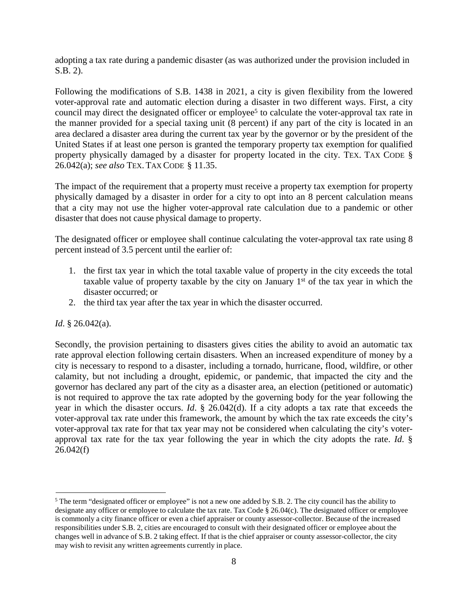adopting a tax rate during a pandemic disaster (as was authorized under the provision included in S.B. 2).

Following the modifications of S.B. 1438 in 2021, a city is given flexibility from the lowered voter-approval rate and automatic election during a disaster in two different ways. First, a city council may direct the designated officer or employee<sup>5</sup> to calculate the voter-approval tax rate in the manner provided for a special taxing unit (8 percent) if any part of the city is located in an area declared a disaster area during the current tax year by the governor or by the president of the United States if at least one person is granted the temporary property tax exemption for qualified property physically damaged by a disaster for property located in the city. TEX. TAX CODE § 26.042(a); *see also* TEX. TAX CODE § 11.35.

The impact of the requirement that a property must receive a property tax exemption for property physically damaged by a disaster in order for a city to opt into an 8 percent calculation means that a city may not use the higher voter-approval rate calculation due to a pandemic or other disaster that does not cause physical damage to property.

The designated officer or employee shall continue calculating the voter-approval tax rate using 8 percent instead of 3.5 percent until the earlier of:

- 1. the first tax year in which the total taxable value of property in the city exceeds the total taxable value of property taxable by the city on January  $1<sup>st</sup>$  of the tax year in which the disaster occurred; or
- 2. the third tax year after the tax year in which the disaster occurred.

# *Id*. § 26.042(a).

Secondly, the provision pertaining to disasters gives cities the ability to avoid an automatic tax rate approval election following certain disasters. When an increased expenditure of money by a city is necessary to respond to a disaster, including a tornado, hurricane, flood, wildfire, or other calamity, but not including a drought, epidemic, or pandemic, that impacted the city and the governor has declared any part of the city as a disaster area, an election (petitioned or automatic) is not required to approve the tax rate adopted by the governing body for the year following the year in which the disaster occurs. *Id*. § 26.042(d). If a city adopts a tax rate that exceeds the voter-approval tax rate under this framework, the amount by which the tax rate exceeds the city's voter-approval tax rate for that tax year may not be considered when calculating the city's voterapproval tax rate for the tax year following the year in which the city adopts the rate. *Id*. §  $26.042(f)$ 

<sup>&</sup>lt;sup>5</sup> The term "designated officer or employee" is not a new one added by S.B. 2. The city council has the ability to designate any officer or employee to calculate the tax rate. Tax Code § 26.04(c). The designated officer or employee is commonly a city finance officer or even a chief appraiser or county assessor-collector. Because of the increased responsibilities under S.B. 2, cities are encouraged to consult with their designated officer or employee about the changes well in advance of S.B. 2 taking effect. If that is the chief appraiser or county assessor-collector, the city may wish to revisit any written agreements currently in place.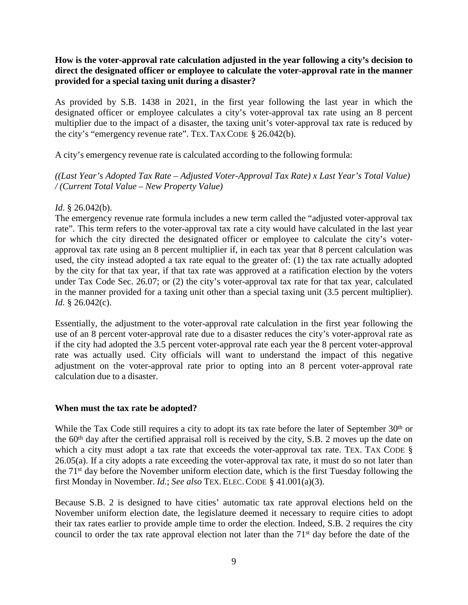# **How is the voter-approval rate calculation adjusted in the year following a city's decision to direct the designated officer or employee to calculate the voter-approval rate in the manner provided for a special taxing unit during a disaster?**

As provided by S.B. 1438 in 2021, in the first year following the last year in which the designated officer or employee calculates a city's voter-approval tax rate using an 8 percent multiplier due to the impact of a disaster, the taxing unit's voter-approval tax rate is reduced by the city's "emergency revenue rate". TEX.TAX CODE § 26.042(b).

A city's emergency revenue rate is calculated according to the following formula:

*((Last Year's Adopted Tax Rate – Adjusted Voter-Approval Tax Rate) x Last Year's Total Value) / (Current Total Value – New Property Value)*

# *Id*. § 26.042(b).

The emergency revenue rate formula includes a new term called the "adjusted voter-approval tax rate". This term refers to the voter-approval tax rate a city would have calculated in the last year for which the city directed the designated officer or employee to calculate the city's voterapproval tax rate using an 8 percent multiplier if, in each tax year that 8 percent calculation was used, the city instead adopted a tax rate equal to the greater of: (1) the tax rate actually adopted by the city for that tax year, if that tax rate was approved at a ratification election by the voters under Tax Code Sec. 26.07; or (2) the city's voter-approval tax rate for that tax year, calculated in the manner provided for a taxing unit other than a special taxing unit (3.5 percent multiplier). *Id*. § 26.042(c).

Essentially, the adjustment to the voter-approval rate calculation in the first year following the use of an 8 percent voter-approval rate due to a disaster reduces the city's voter-approval rate as if the city had adopted the 3.5 percent voter-approval rate each year the 8 percent voter-approval rate was actually used. City officials will want to understand the impact of this negative adjustment on the voter-approval rate prior to opting into an 8 percent voter-approval rate calculation due to a disaster.

# **When must the tax rate be adopted?**

While the Tax Code still requires a city to adopt its tax rate before the later of September 30<sup>th</sup> or the 60th day after the certified appraisal roll is received by the city, S.B. 2 moves up the date on which a city must adopt a tax rate that exceeds the voter-approval tax rate. Tex. TAX CODE § 26.05(a). If a city adopts a rate exceeding the voter-approval tax rate, it must do so not later than the 71st day before the November uniform election date, which is the first Tuesday following the first Monday in November. *Id*.; *See also* TEX.ELEC.CODE § 41.001(a)(3).

Because S.B. 2 is designed to have cities' automatic tax rate approval elections held on the November uniform election date, the legislature deemed it necessary to require cities to adopt their tax rates earlier to provide ample time to order the election. Indeed, S.B. 2 requires the city council to order the tax rate approval election not later than the 71st day before the date of the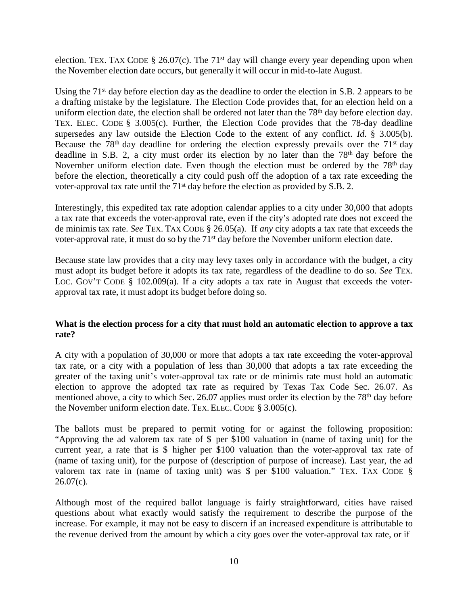election. TEX. TAX CODE § 26.07(c). The 71<sup>st</sup> day will change every year depending upon when the November election date occurs, but generally it will occur in mid-to-late August.

Using the 71<sup>st</sup> day before election day as the deadline to order the election in S.B. 2 appears to be a drafting mistake by the legislature. The Election Code provides that, for an election held on a uniform election date, the election shall be ordered not later than the 78<sup>th</sup> day before election day. TEX. ELEC. CODE § 3.005(c). Further, the Election Code provides that the 78-day deadline supersedes any law outside the Election Code to the extent of any conflict. *Id*. § 3.005(b). Because the  $78<sup>th</sup>$  day deadline for ordering the election expressly prevails over the  $71<sup>st</sup>$  day deadline in S.B. 2, a city must order its election by no later than the 78<sup>th</sup> day before the November uniform election date. Even though the election must be ordered by the 78<sup>th</sup> day before the election, theoretically a city could push off the adoption of a tax rate exceeding the voter-approval tax rate until the 71st day before the election as provided by S.B. 2.

Interestingly, this expedited tax rate adoption calendar applies to a city under 30,000 that adopts a tax rate that exceeds the voter-approval rate, even if the city's adopted rate does not exceed the de minimis tax rate. *See* TEX. TAX CODE § 26.05(a). If *any* city adopts a tax rate that exceeds the voter-approval rate, it must do so by the 71st day before the November uniform election date.

Because state law provides that a city may levy taxes only in accordance with the budget, a city must adopt its budget before it adopts its tax rate, regardless of the deadline to do so. *See* TEX. LOC. GOV'T CODE § 102.009(a). If a city adopts a tax rate in August that exceeds the voterapproval tax rate, it must adopt its budget before doing so.

# **What is the election process for a city that must hold an automatic election to approve a tax rate?**

A city with a population of 30,000 or more that adopts a tax rate exceeding the voter-approval tax rate, or a city with a population of less than 30,000 that adopts a tax rate exceeding the greater of the taxing unit's voter-approval tax rate or de minimis rate must hold an automatic election to approve the adopted tax rate as required by Texas Tax Code Sec. 26.07. As mentioned above, a city to which Sec. 26.07 applies must order its election by the 78<sup>th</sup> day before the November uniform election date. TEX.ELEC.CODE § 3.005(c).

The ballots must be prepared to permit voting for or against the following proposition: "Approving the ad valorem tax rate of \$ per \$100 valuation in (name of taxing unit) for the current year, a rate that is \$ higher per \$100 valuation than the voter-approval tax rate of (name of taxing unit), for the purpose of (description of purpose of increase). Last year, the ad valorem tax rate in (name of taxing unit) was \$ per \$100 valuation." TEX. TAX CODE §  $26.07(c)$ .

Although most of the required ballot language is fairly straightforward, cities have raised questions about what exactly would satisfy the requirement to describe the purpose of the increase. For example, it may not be easy to discern if an increased expenditure is attributable to the revenue derived from the amount by which a city goes over the voter-approval tax rate, or if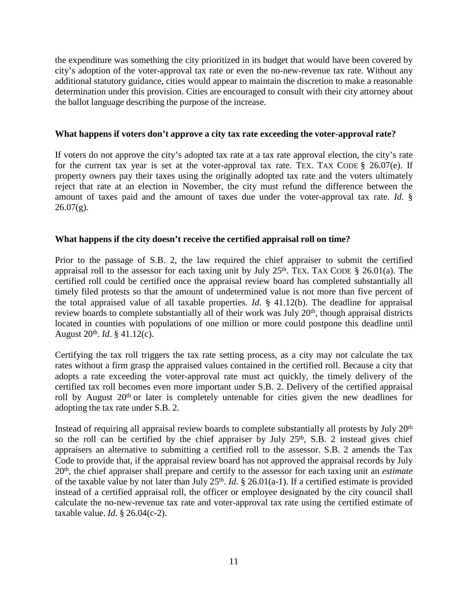the expenditure was something the city prioritized in its budget that would have been covered by city's adoption of the voter-approval tax rate or even the no-new-revenue tax rate. Without any additional statutory guidance, cities would appear to maintain the discretion to make a reasonable determination under this provision. Cities are encouraged to consult with their city attorney about the ballot language describing the purpose of the increase.

### **What happens if voters don't approve a city tax rate exceeding the voter-approval rate?**

If voters do not approve the city's adopted tax rate at a tax rate approval election, the city's rate for the current tax year is set at the voter-approval tax rate. TEX. TAX CODE  $\S$  26.07(e). If property owners pay their taxes using the originally adopted tax rate and the voters ultimately reject that rate at an election in November, the city must refund the difference between the amount of taxes paid and the amount of taxes due under the voter-approval tax rate. *Id*. §  $26.07(g)$ .

### **What happens if the city doesn't receive the certified appraisal roll on time?**

Prior to the passage of S.B. 2, the law required the chief appraiser to submit the certified appraisal roll to the assessor for each taxing unit by July  $25<sup>th</sup>$ . Tex. TAX CODE § 26.01(a). The certified roll could be certified once the appraisal review board has completed substantially all timely filed protests so that the amount of undetermined value is not more than five percent of the total appraised value of all taxable properties. *Id*. § 41.12(b). The deadline for appraisal review boards to complete substantially all of their work was July  $20<sup>th</sup>$ , though appraisal districts located in counties with populations of one million or more could postpone this deadline until August 20th. *Id*. § 41.12(c).

Certifying the tax roll triggers the tax rate setting process, as a city may not calculate the tax rates without a firm grasp the appraised values contained in the certified roll. Because a city that adopts a rate exceeding the voter-approval rate must act quickly, the timely delivery of the certified tax roll becomes even more important under S.B. 2. Delivery of the certified appraisal roll by August 20<sup>th</sup> or later is completely untenable for cities given the new deadlines for adopting the tax rate under S.B. 2.

Instead of requiring all appraisal review boards to complete substantially all protests by July 20<sup>th</sup> so the roll can be certified by the chief appraiser by July  $25<sup>th</sup>$ , S.B. 2 instead gives chief appraisers an alternative to submitting a certified roll to the assessor. S.B. 2 amends the Tax Code to provide that, if the appraisal review board has not approved the appraisal records by July 20th, the chief appraiser shall prepare and certify to the assessor for each taxing unit an *estimate* of the taxable value by not later than July 25th. *Id*. § 26.01(a-1). If a certified estimate is provided instead of a certified appraisal roll, the officer or employee designated by the city council shall calculate the no-new-revenue tax rate and voter-approval tax rate using the certified estimate of taxable value. *Id*. § 26.04(c-2).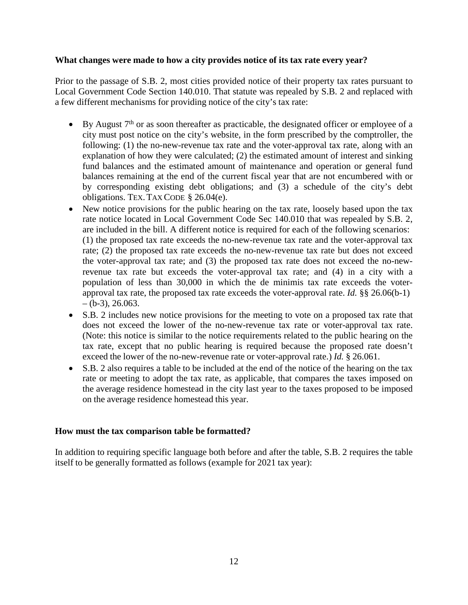### **What changes were made to how a city provides notice of its tax rate every year?**

Prior to the passage of S.B. 2, most cities provided notice of their property tax rates pursuant to Local Government Code Section 140.010. That statute was repealed by S.B. 2 and replaced with a few different mechanisms for providing notice of the city's tax rate:

- By August  $7<sup>th</sup>$  or as soon thereafter as practicable, the designated officer or employee of a city must post notice on the city's website, in the form prescribed by the comptroller, the following: (1) the no-new-revenue tax rate and the voter-approval tax rate, along with an explanation of how they were calculated; (2) the estimated amount of interest and sinking fund balances and the estimated amount of maintenance and operation or general fund balances remaining at the end of the current fiscal year that are not encumbered with or by corresponding existing debt obligations; and (3) a schedule of the city's debt obligations. TEX.TAX CODE § 26.04(e).
- New notice provisions for the public hearing on the tax rate, loosely based upon the tax rate notice located in Local Government Code Sec 140.010 that was repealed by S.B. 2, are included in the bill. A different notice is required for each of the following scenarios: (1) the proposed tax rate exceeds the no-new-revenue tax rate and the voter-approval tax rate; (2) the proposed tax rate exceeds the no-new-revenue tax rate but does not exceed the voter-approval tax rate; and (3) the proposed tax rate does not exceed the no-newrevenue tax rate but exceeds the voter-approval tax rate; and (4) in a city with a population of less than 30,000 in which the de minimis tax rate exceeds the voterapproval tax rate, the proposed tax rate exceeds the voter-approval rate. *Id.* §§ 26.06(b-1)  $-(b-3), 26.063.$
- S.B. 2 includes new notice provisions for the meeting to vote on a proposed tax rate that does not exceed the lower of the no-new-revenue tax rate or voter-approval tax rate. (Note: this notice is similar to the notice requirements related to the public hearing on the tax rate, except that no public hearing is required because the proposed rate doesn't exceed the lower of the no-new-revenue rate or voter-approval rate.) *Id.* § 26.061.
- S.B. 2 also requires a table to be included at the end of the notice of the hearing on the tax rate or meeting to adopt the tax rate, as applicable, that compares the taxes imposed on the average residence homestead in the city last year to the taxes proposed to be imposed on the average residence homestead this year.

### **How must the tax comparison table be formatted?**

In addition to requiring specific language both before and after the table, S.B. 2 requires the table itself to be generally formatted as follows (example for 2021 tax year):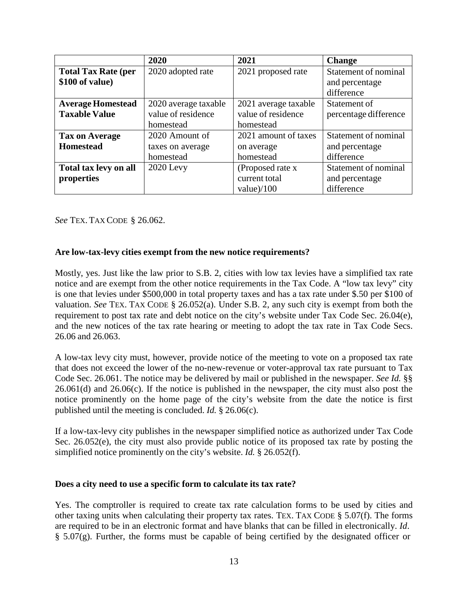|                            | 2020                 | 2021                 | <b>Change</b>         |
|----------------------------|----------------------|----------------------|-----------------------|
| <b>Total Tax Rate (per</b> | 2020 adopted rate    | 2021 proposed rate   | Statement of nominal  |
| \$100 of value)            |                      |                      | and percentage        |
|                            |                      |                      | difference            |
| <b>Average Homestead</b>   | 2020 average taxable | 2021 average taxable | Statement of          |
| <b>Taxable Value</b>       | value of residence   | value of residence   | percentage difference |
|                            | homestead            | homestead            |                       |
| <b>Tax on Average</b>      | 2020 Amount of       | 2021 amount of taxes | Statement of nominal  |
| <b>Homestead</b>           | taxes on average     | on average           | and percentage        |
|                            | homestead            | homestead            | difference            |
| Total tax levy on all      | $2020$ Levy          | (Proposed rate x     | Statement of nominal  |
| properties                 |                      | current total        | and percentage        |
|                            |                      | value $)/100$        | difference            |

*See* TEX. TAX CODE § 26.062.

#### **Are low-tax-levy cities exempt from the new notice requirements?**

Mostly, yes. Just like the law prior to S.B. 2, cities with low tax levies have a simplified tax rate notice and are exempt from the other notice requirements in the Tax Code. A "low tax levy" city is one that levies under \$500,000 in total property taxes and has a tax rate under \$.50 per \$100 of valuation. *See* TEX. TAX CODE § 26.052(a). Under S.B. 2, any such city is exempt from both the requirement to post tax rate and debt notice on the city's website under Tax Code Sec. 26.04(e), and the new notices of the tax rate hearing or meeting to adopt the tax rate in Tax Code Secs. 26.06 and 26.063.

A low-tax levy city must, however, provide notice of the meeting to vote on a proposed tax rate that does not exceed the lower of the no-new-revenue or voter-approval tax rate pursuant to Tax Code Sec. 26.061. The notice may be delivered by mail or published in the newspaper. *See Id.* §§ 26.061(d) and 26.06(c). If the notice is published in the newspaper, the city must also post the notice prominently on the home page of the city's website from the date the notice is first published until the meeting is concluded. *Id.* § 26.06(c).

If a low-tax-levy city publishes in the newspaper simplified notice as authorized under Tax Code Sec. 26.052(e), the city must also provide public notice of its proposed tax rate by posting the simplified notice prominently on the city's website. *Id.* § 26.052(f).

#### **Does a city need to use a specific form to calculate its tax rate?**

Yes. The comptroller is required to create tax rate calculation forms to be used by cities and other taxing units when calculating their property tax rates. TEX. TAX CODE § 5.07(f). The forms are required to be in an electronic format and have blanks that can be filled in electronically. *Id*. § 5.07(g). Further, the forms must be capable of being certified by the designated officer or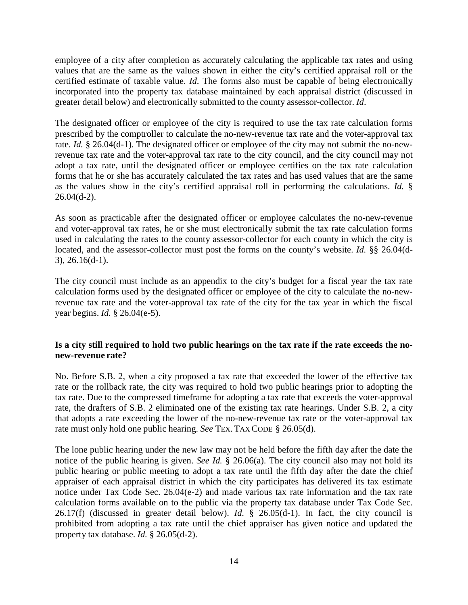employee of a city after completion as accurately calculating the applicable tax rates and using values that are the same as the values shown in either the city's certified appraisal roll or the certified estimate of taxable value. *Id*. The forms also must be capable of being electronically incorporated into the property tax database maintained by each appraisal district (discussed in greater detail below) and electronically submitted to the county assessor-collector. *Id*.

The designated officer or employee of the city is required to use the tax rate calculation forms prescribed by the comptroller to calculate the no-new-revenue tax rate and the voter-approval tax rate. *Id.* § 26.04(d-1). The designated officer or employee of the city may not submit the no-newrevenue tax rate and the voter-approval tax rate to the city council, and the city council may not adopt a tax rate, until the designated officer or employee certifies on the tax rate calculation forms that he or she has accurately calculated the tax rates and has used values that are the same as the values show in the city's certified appraisal roll in performing the calculations. *Id.* §  $26.04(d-2)$ .

As soon as practicable after the designated officer or employee calculates the no-new-revenue and voter-approval tax rates, he or she must electronically submit the tax rate calculation forms used in calculating the rates to the county assessor-collector for each county in which the city is located, and the assessor-collector must post the forms on the county's website. *Id.* §§ 26.04(d-3), 26.16(d-1).

The city council must include as an appendix to the city's budget for a fiscal year the tax rate calculation forms used by the designated officer or employee of the city to calculate the no-newrevenue tax rate and the voter-approval tax rate of the city for the tax year in which the fiscal year begins. *Id.* § 26.04(e-5).

# Is a city still required to hold two public hearings on the tax rate if the rate exceeds the no**new-revenue rate?**

No. Before S.B. 2, when a city proposed a tax rate that exceeded the lower of the effective tax rate or the rollback rate, the city was required to hold two public hearings prior to adopting the tax rate. Due to the compressed timeframe for adopting a tax rate that exceeds the voter-approval rate, the drafters of S.B. 2 eliminated one of the existing tax rate hearings. Under S.B. 2, a city that adopts a rate exceeding the lower of the no-new-revenue tax rate or the voter-approval tax rate must only hold one public hearing. *See* TEX.TAX CODE § 26.05(d).

The lone public hearing under the new law may not be held before the fifth day after the date the notice of the public hearing is given. *See Id.* § 26.06(a). The city council also may not hold its public hearing or public meeting to adopt a tax rate until the fifth day after the date the chief appraiser of each appraisal district in which the city participates has delivered its tax estimate notice under Tax Code Sec. 26.04(e-2) and made various tax rate information and the tax rate calculation forms available on to the public via the property tax database under Tax Code Sec. 26.17(f) (discussed in greater detail below). *Id.* § 26.05(d-1). In fact, the city council is prohibited from adopting a tax rate until the chief appraiser has given notice and updated the property tax database. *Id.* § 26.05(d-2).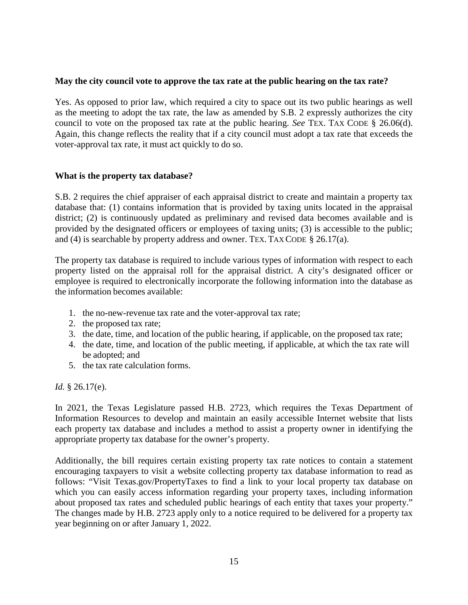#### **May the city council vote to approve the tax rate at the public hearing on the tax rate?**

Yes. As opposed to prior law, which required a city to space out its two public hearings as well as the meeting to adopt the tax rate, the law as amended by S.B. 2 expressly authorizes the city council to vote on the proposed tax rate at the public hearing. *See* TEX. TAX CODE § 26.06(d). Again, this change reflects the reality that if a city council must adopt a tax rate that exceeds the voter-approval tax rate, it must act quickly to do so.

### **What is the property tax database?**

S.B. 2 requires the chief appraiser of each appraisal district to create and maintain a property tax database that: (1) contains information that is provided by taxing units located in the appraisal district; (2) is continuously updated as preliminary and revised data becomes available and is provided by the designated officers or employees of taxing units; (3) is accessible to the public; and (4) is searchable by property address and owner. TEX. TAX CODE  $\S$  26.17(a).

The property tax database is required to include various types of information with respect to each property listed on the appraisal roll for the appraisal district. A city's designated officer or employee is required to electronically incorporate the following information into the database as the information becomes available:

- 1. the no-new-revenue tax rate and the voter-approval tax rate;
- 2. the proposed tax rate;
- 3. the date, time, and location of the public hearing, if applicable, on the proposed tax rate;
- 4. the date, time, and location of the public meeting, if applicable, at which the tax rate will be adopted; and
- 5. the tax rate calculation forms.

*Id.* § 26.17(e).

In 2021, the Texas Legislature passed H.B. 2723, which requires the Texas Department of Information Resources to develop and maintain an easily accessible Internet website that lists each property tax database and includes a method to assist a property owner in identifying the appropriate property tax database for the owner's property.

Additionally, the bill requires certain existing property tax rate notices to contain a statement encouraging taxpayers to visit a website collecting property tax database information to read as follows: "Visit Texas.gov/PropertyTaxes to find a link to your local property tax database on which you can easily access information regarding your property taxes, including information about proposed tax rates and scheduled public hearings of each entity that taxes your property." The changes made by H.B. 2723 apply only to a notice required to be delivered for a property tax year beginning on or after January 1, 2022.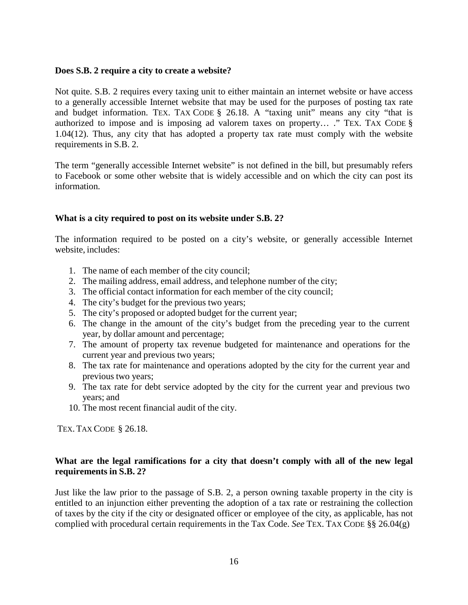#### **Does S.B. 2 require a city to create a website?**

Not quite. S.B. 2 requires every taxing unit to either maintain an internet website or have access to a generally accessible Internet website that may be used for the purposes of posting tax rate and budget information. TEX. TAX CODE § 26.18. A "taxing unit" means any city "that is authorized to impose and is imposing ad valorem taxes on property… ." TEX. TAX CODE § 1.04(12). Thus, any city that has adopted a property tax rate must comply with the website requirements in S.B. 2.

The term "generally accessible Internet website" is not defined in the bill, but presumably refers to Facebook or some other website that is widely accessible and on which the city can post its information.

### **What is a city required to post on its website under S.B. 2?**

The information required to be posted on a city's website, or generally accessible Internet website, includes:

- 1. The name of each member of the city council;
- 2. The mailing address, email address, and telephone number of the city;
- 3. The official contact information for each member of the city council;
- 4. The city's budget for the previous two years;
- 5. The city's proposed or adopted budget for the current year;
- 6. The change in the amount of the city's budget from the preceding year to the current year, by dollar amount and percentage;
- 7. The amount of property tax revenue budgeted for maintenance and operations for the current year and previous two years;
- 8. The tax rate for maintenance and operations adopted by the city for the current year and previous two years;
- 9. The tax rate for debt service adopted by the city for the current year and previous two years; and
- 10. The most recent financial audit of the city.

TEX. TAX CODE § 26.18.

# **What are the legal ramifications for a city that doesn't comply with all of the new legal requirements in S.B. 2?**

Just like the law prior to the passage of S.B. 2, a person owning taxable property in the city is entitled to an injunction either preventing the adoption of a tax rate or restraining the collection of taxes by the city if the city or designated officer or employee of the city, as applicable, has not complied with procedural certain requirements in the Tax Code. *See* TEX. TAX CODE §§ 26.04(g)